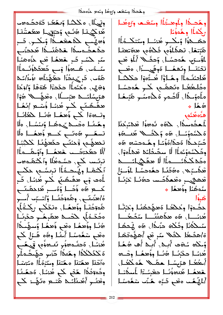وهُددًا ومُعْدَف ورُوهُا وِعُوم حزَّودهُا

وِيْهَالْ. وَيْكَسُلْ وَيَعْقَدْ ثَةْئِشُوه هُرتكِيْنَا هُنُم، وُحَزِّقِيْ هِ مَفْعَشُنْا ؤُهِيَّبِ لِلْمُعْتَمِيْدًا وَُلْكِسِ. ضَـَمِ حدٌه هُــمـددُا هَـدَهُنُــدُا هَٰدحَنُب سًا لِمَسْمٍ كَمِ هَعْمًا هُمْ لِمُوَصِيْلِ مَمْــدٌب. هُــــ3هُوُّا وْمــــع كَـعْكَـدُوُّنُــدَـدَاْ! هَٰهُ۔. ثَمِ جَعِيْدُ الْحَمَّجُ أَمْ اؤُمَا ُ حَمَّةٌ وَهُلٍ. مَكْثَماً! حكْحَرَّا هَوَهَا وَإِوْكَا دَّمِسُلَّـــــــم محَمِّـــــــــلا . هقد أَسَّـــــلا هُوَا هقَىقَىنَى كُـرِ هُـٰٓئِـا ؤُسْــعِ إِنْـهَٰـا وتسعفا كلم وُهمُا هُنُا لِهُدَانُنَا الله بالمشناق المفصر المستاه الشاهو تععوُّےُ تَعنُبُ حكَعوُبُا كَحَبُبُا ٱلْا حعَّد:كَـــب هَعْـهُــا وَآوُبـعُـــولَمْا تْبِنّْسَا كُلّْ. حَشّْءَهُلًا وَٱلْحُتْهَاءَهَا رَكْتَهَا وِضْحَفَّاً تَرْسَّـهِ حَكْب ۔أُەت بْی ھفَىقَىنّ کُـر ھُزْمًا. ضُـ كَمِعْ رَهُمْ وَّحُمْلِ وَّةَ مِنْ هَٰزَادِهَيْتَنِي ەُ/ھنَّىبٌ . وٖۿَەۏحُنُــا وَٛاتـــَبۡٮ ٱمــــو هُوَدُنَـا وِؤُهمُـا وَدَكَــم رِكْـٰۃُ) ەكْتْــەُلُمْ لاتْمْـــدْ ھەكْبِـھْــو جـدْبِـُـار اهُنُا وِؤُهِمًا وَهُم وَّهِمًا وَسَهَّدًا ەھْم سْعُدْسُل أَمْلُل وِهُو كَــرُل كُــمْ هُزَئْداً. هُجَنَّدهُوْ سُلْمَهُو وَفَيْ مُحَمَّل هَ تَكَلّْكُلُّا وِهَٰىٰدًا كَنْسٍ حَهَّىشُـٰهَـٰلِر دَفْتَا هِمَّتْنَا دَهَّتْنَا وِمَّتْوَدًّا دَّتْتِمَا وِدُّەتِكُمَّا هُتْم كُلِّ هُز*ىُ*ا. ەَح**صَّىُ**ا وقْتُبْ أَهُمْلَكُمْ هُدْمٍ مَنْهَا: كُلّ

وهَّدْدُا وْلُوهْشْرَاْ وْمَعْشَفْ وْرُوهُمْ وبكمأا وهُووُمُا ا حَقَّــدُوْاً وُــكَـــرِ هُـ:ئـــا وِـمّتكَــدُاُا<br>هَبْتقا. تـعذَاؤُور ثَـكشُور مِيمَّتعتـا لمُؤْسِرُ ۖ هُءكسُل. وُحثَّـــلا ٱللَّهِ ۚ شَب تغنسا ونعما ەوفى زا. ەھب هَامَنُـْمَاْلِ وِهَـٰلَةٍۤا هُــَّوْوَا حَكَكُـلُّـا وَدَّاعِثُغُمَا وَتَعْفَى لَكُمْ هُوَجِسًا ەلمُەوَّىـدًا. لَّاشُـەر ەَـدەمىُــر ھَبُـمُـا  $\bullet$   $\mathop{\text{L}}\nolimits^{\circ}$ ومُعَمَّم أهدُّه مماراً. للهُم شُهورُ المُحامَرُ حُلًّا ەَ كَشُەرُسُــا. «ە وَ كَشَـــلا مَنىـــ«ەَوْ دُّبُدِياً وَحِدْاُهُؤُسًا وِهُ وَحَسْنَ وَهُ وكَحْشُووُشَه أَا لَا محصَّحُاسًا مْحَالَمُوْلِ. هَ حَمْكُمُ نَــــه الْمَالِ الْمَحْكَمِيلُ مَـــــــــــــمْ هَكُسِرُى ، هَوُكُسُل حقَّوصُل لمُؤْسِرُل تَعطيم وتَعطَكَــب حدُنُـا تَجْنُـا مْدْهُمُا وِؤْهِمُا \* <u>شهٔ ا</u> حدَّحوْا وحُكْمُا هَمجُحمُ*تُ*ا وَحْزَتْا هُزئُـــا. هُو هِكُمِسُـُــا مُكَـهُـــا مَعْلَمُنَا وِدُكُلُّهَ حَبْدًا. ۞ هُ لَمِحْعَا ة/هضَعُل لمُثَلا مَر مْعِ أَهِهُوتَهَا وَمِنْكُلُهُ شُدْدَةً فَسِيءًا أَبْسِكَ أَبْسَدَ الْمُسْمَلَ هُزئبا حدْنُبا هُنُبا وِؤُهِمًا وِحْدِهِ أَعفُعُه وَجِسُه حصَّلا حُوجُوا. هْعِمْـا هُنهوْنُـا حِعْنُــْ أَسِلَٰتَـا ٱلمَلِّعُـٰٮ هڤـمٍ كَـَرُه ـِعَـُرُٮ سْعُمِىٰـٰلِ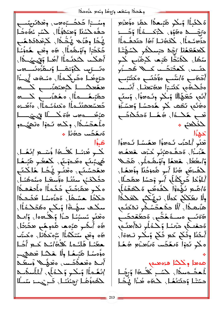وهُددًا ومُعْدَف ورُوهُا وِعُوم حزَّودهُا

وِسُدًا حَدَدُ مَءِ مِن وَهُدَنَرِ مِمْسَنٍ حفُّه كْسُلًا وُهكلوُّلًا. ۚ كَسِّرٍ ۚ يُؤُهِكُمْ لِمُحُا وقُنَم لِمُخُمَّا. كَبِقْدَكَدْهُبِ كَتْݣُرا وِزُوَّىعُماْلِ. ۞ه وقَعِ هُوزُـُـا أَهكُما لِمُدْشَماًا أَهُما وَقَيْحِيُكُمْ . ەئـــۇما للَّاۋْتىھْـــا ۋىلىكْتُەنىــــەت حرِّہِ هُــا ہ حُـرِ جُــماًا . ہـُــْهُ صَــالِ ــزَّا هَهُهِدًا حَرْمَتُهُ وَسَمْ لَهُ مَهْ كَعِمْعِطِيْتُمِلْلِ مَكْتَمِلْلِ. وَأَهْبَ لمستشرقة للأكفأة مجمع سنضيض ه أحضَيْهَا. وكده صُوَّرا هنْتَهُو ەُتمَكْس دەُنُّا \* ۿڔۏؙٛٳ كْبِ هُٰٓ:يُا ݣُلُدُهُۢا وُّسْـعِ إِنْهُـا. هُيِّئِتِّ مَعْدَبِّتِ لَاهِعُـو هَُئِـمًا همّحسّسٌ). هَلْسُو هُحُـا هُاكْسٌ حثَكْتُها مشُا وَتُمعْدا ومُوصُلًا. ەڭدو ھەزگىگ كْشەڭا ەڭتىقىدا حلْكُل هِسَّمَٰل. هُجْوَمِىْلِ هُكُبْحِيْلِ سكُتْ سِجُّةًا وُسَكَّعٍ وَهُتَكَمُلًا. ەھْلُو ئىسۇئىل ھۇل ئولاگھەل. ئ $\sim$ لىك ، أَمَاسٍ هزَّوها هُومِمٌم هدَّرْدًا. هُه وِهْمِ مُتَكَمَّلًا مُّوْمَحَكُمْلَ. مَكْتُف حعَمْدا هَلْدُه! حَلاَهُ}سُم حَمد أَحُل وؤوسًا وَجَمْعًا وِلًا هَكَنَا مَعْدَيْبِ أىك ەقىمككىب ، ەقىئىلا ۋىيغىك إِنْعُمَاْلِ وَمِكْمٍ وَكَمْلًا. ٱلْمُلْمِدَّكَ لِلْعُووُهُـا رَجِئْتُـا. ضَرِيْبِ: مَيْتُلَا

هَكْذَبِلًا وُسُكُو هُزُسِهِمَّا حَقَّ وَوُهِرْمِ ەرْجْــــدا ەھْوُو. بْكَتْكَـــدْمُلْمْ وْجَـــــز حَرُهِجُمِلًا. كُذْهُنَا آَهُا حَنُدَفُهِاْ لَاهِمَعْمُنَا رُدِّهِ حَبِيلاً مِنْ لِمَنْهُنَّا مَعُا. حَكَمُتْنَا هُبِم حَرِمْنِي حُـرِ أَحْهَبِ هَاشَبِ وَقُصَّبِ مَكْتَبْب ەقْكْشُى كَتُبْرَأْ هِمْتْعِنْدَا. أَتُسْتَ أَنَّهِ خَقَّهُالًا وُعُكُرٍ وِئُـهِ وَأَ. وُسَبِّ ەھُنُّە ئَىْھە لَكْرِ خُەجسًا وَْھِسَّنَّوْ ھَے مَكْدًا. ھُمُّا ہْدَثُلاَنَے لمنُلْعْتُم \* تحجئزا هْلُو ٱلْمَدُّب لُـهِ وَوُّا هِـمُّسُل لُـهِ وَوُّا هُنُّتُ¦. ەُدْڤُەھرُبُو كُنْزَف هُعْهُـُه وَٱعْتَدًا. هَتَعَمَّا وَآوُعْشَمَاتٍ. هَٰذَــٰ َكَقَّىْتِكُمْ ۚ هُٰلًا أُمِنٍ هُوَدُّنُا ۚ وَأَهْهَا ۖ . ٱلمُؤَكِّداً شَرِيكُمُّلُّ ٱبْ وَسَسًا مِمَّدِلًا. وَٰإِمَاهِم مُؤْمِنُونَ إِنَّهُمْهِم وَاللَّهَ وَهُمَا وَاللَّهَ وَلَا سَكَنْكُمْ حَدَلًا. تَرِيَكْتُبُ حَقَدْ كَا هنَّىعِيدًا. أَلَّا حِكْمِخْسُكُمِ تَمْكُنُّمٍ 85 مْبْ هُدْشُو ، وْحَقّْقْعَصْبْ ەَحقىكَ حْتِسًا وَحْدَىٰهِ تْݣَاهْتُمْ أَمَثَنَا وِثَكَمْ كُمْ ثَكَمْ وُمَكْسٍ تُـ20\$. ەڭد ئەۋا ەتقىمىس ەتزەدۋەر ھىما هوها وتكثار فزوهمو لْمَشْـٰہِـٰماً. كَسَّـٰ كَلَّـٰهُا وَٰنُّـِـا حِمَّتْنَا وَحِتَّنَتُهُـا بِ كَيْهُو هُـزُا لِمُحُـا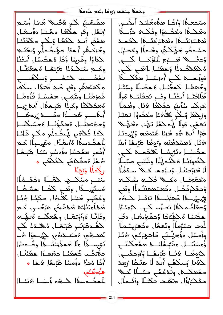وهُجمًا ومُعْمَد وَرُوهُا وِثَومِ حَزْوجَهُا

ھقَىقَىلَ كُـرِ ھُتَـىلا ھُ;ئا وُسْـع إِنْعُلَ. وِكَرِ هَكُلاً مَعَّنَا مَوَّسِعْاً. همَّدُ أَسِمْ لِمَحْكُلِ وَمِكْدٍ مِكْتَمَيْلِ وهُ:كَعِدُمِ أَحْدًا حَهُمْشُمْلُو وَتَعَفَّلَا لِكَلَّهُا وِقْرِبِهُا وَّكُلَّ هُ هِجَْسُاً. أَيْكُنُا وكع متنحفأا هُتِمْا هُمْعَتْتْا. ىمّكّــــى للىّمُـــــوٖ وَسَكْفَـــــع ەڭكەنگەر وقىي شىلا ھُتىدَّا. مىڭگ فُوهُنُـا وِنُتَّبِبْ هِمُسُـا فُزُوهُـا هَ مَكْلُمُلْ وِكْبِلًا هُبُعِمُا. أَبِكْ يَهِمْ أسكمت فحدأ وتستحكم بمسلم ۇھەقتىشل ۋە كرۇسل ۋە مىلگىل لْكُمَا ثَلَاهُم هُنشُملُر مكْبِ فَاسًا لْمَحْدِسِكَالَ وَٱلْحُدَٰرُ. وَهْيَ إِلَّا كَلَّمَ أَحْمر همّحمًا هؤْمِمُر مَمْا هُرُمُا ھُمُّا ەُحثُّلاَكُم لِلنُلْعُمِ \* ديكمأا وروشا مَّتَـــرِ مَمَّتَـــها حَقُّــاً مَحَـّــهُ/ا هُمشَیْکُل وقب کُکُل هسُمُل وكْتّْبُس هُٰذِيْا ݣْلْدُهْا. حِنْبُنَا هُنْا قىھلەئىلگە قىھكىنى ھۇھىس. كىم وِدَّاتْهِ وَوَوَّقِتِهْهِ وِيَعْمَدُ وَمَثَلَ وَمِنْهُ وَمِنْ لمُفْءةَبُسُر هُبْتُهَا. هُلْكُمْ كُلّ كَعْدَةُ مِ وَحَسَّلَهُ مِنْ مَعْهُمْ وَأَسْتَمَرْ تَرَّىسے اُ مَا شَعَذَوْنُنُــدا وِحُــوتِ ا ددَّتحُــد حُـعمَّدُــا حـمْـفــزُا حمَّدُسُـا. أَجَلَ وَجَزَلَ وَوُوسُلَ هَرَمِهَا وَوُهَا ﴾ **ڡۥؙۛ۠**ٯڡۘٚۮۿ أَحدُ وَسِمًا كِلَّةَ وَ مِنْكُمْ وَلَيْنَ الْمَرْسَلَ

متحعجًا وُاُحًا هِدُّەهُائِه أَيكْسِب وهْكَــدًا وكُــدُوءُا وِثَـُكَــرَة حَزَـــدًا هْهْنَائْتُمْا هْهْدْبُكْتُمْا لْحَكْمِ حسَّـٰمحُـر مْدَيْكُـكَلِ وِهُـٰماًا وِكَحــُـُ اِ. وُحفٌـــا\ مْــــــْرِم لْمَلَوَّسْـــا كْــــى. هَ حَقَدْتُ وَلَمْ وَحِعَمُهُ لِمَ أَنْقَبِ ۚ كَبِي . ةُوِوَّهِكُمْ كُلْسٍ أُووْسُكُمْ كَلَاسُكُمْ ا وهُعِمُا كَعِفْدًا. هُعَشُلًا وَعَنْدًا هَٰلَائُتْ الۡ اُحۡنُـٰا وِحَٰبِ نَحفُائُـٰهَ هَوِلًا تَدِيكُتْ مُنَّضِّعٌ حَكْكْمًا هُنَّا. وِهُــْمَاًا وَرَجْعُلَ وَيَكُو كَلَاهُمْا مَحْجُمْوَا تَعْتَبَا لَّحْكَى. هُولًا يُوْحَكُمُ نَهُ:. وقَدَيْتُ هُوْاً أَبِيا هُو هُٰذِيْاً هُمُوهُدِ وَإِنَّ وَالْمَسْرَاءِ هُنَا. هُعسُلاهُنَه وَرُوهُا هُبُسُهَا أَسْلَا هضُسُا ەنۇبسُا كَلاتْهـك كَب. َكْثُووُنُـٰا هُكْتُـُوهُٰۥُۚۢا وِشَّبِّبِ مِنْصَلًا لًا هَدَوَّحَنُـٰلَ. وَبَـرُه هـ كَـــلا مـــةَةُـلًا ەتمۇتكىل ەكمىلا ئىكى مىنگىدە وُحكَدْدِحُـا. وحُمْسُمْعَتْتُـمْلًا وِتْبَعِ قَيْحِيُكُمْ دَهْتُمُكُمْ تَرْتَسَا كَدَهُهِ وَحِعْلَائِدِ حَدًا تَحِنَّبِ كَلِي. حَرْهَتْ الْ هدَّتشا هَ حَدَّثَهُ دَا وَحَدَّبَوۡ مَعُدَا . ٥كَ ـأُوت حمَّيُوماُ! وِنَعْمَا. وَخَعْقِبْنُـماُ! وَوَّدَ الْمَاءِ وَرُوهَ مِنْ الْمَدْيَنُومِ مِنْ الْمَامَةِ مِنْ ۈْمىنى*نْسىل. دەئىمات*ىك ھەھكى*ت* لْكُرُومُهُــا هُنُــا هُبُـمُــا وُاوْحِكَـــو. لِحَمْنَا وَسَكُفَى أَبِيا لَا هَنَيْجًا رُهِي معَعنُدِهِ. وِتَمَكّمُهِ حسَناً كَمِلًا حِنْكُمُ وُلْ. وتَعْبِ حِكْتِبْلَا وِزُئُومِلًا.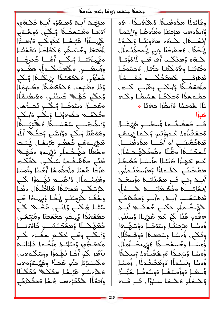وهُددًا ومُعْدَف ورُوهُا وِعُوم حزَّودهُا

هرّجُـد أُبِـد هَهـهَوۡوۡ أُبِـد شُـدهُومِ أَةْݣُـا هِفْتُنْعَظُكُمْ وُحْكُمْ. هُوهُـْمْمْ كَجِيدَةُ! هَبُعُسًا كَمْوِكِّحٍ ةَاهِدْتَا لْمُتعْل وهُنمُدكُر هُ تَكْتُلْحْلَا تَقْعُبُنَا هَ الْمَسْلَمِ الْمُسَلِمِ كَحْرِجُهِ الْمَسْرَةِ وتَسطَســـو. مكعسَّسُكــملَّع هڤـــمر كَعْزُمٍ. هَٰكَتْقَدُمَّا هَيْكُمُّا وَّكْمَ وَّدُا وهُـْبِم. هَـٰذْخَعْهُـٰدُا وهُـٰـٰ:وِهُـلَّا وَّدَكُم حُهْلًا ضَسُنُـرٍ. 20مَعْنَـثَمَّاً ەھْڪْرَا ەمْدْڪَا وُمْكُسِ تَڪرُهَ. ەئْكْسُلا ھڭەھۇئىل ۋىڭىر ةامكى وَّامِكْمُةَ مِنْ مُقْسُمُ الْمُحْتَوَّلُ الْمُحَمَّدُ وهُةهُلْا وُسِكُم هَوُاشُبِ وُحشُلًا ٱلْمُو هُمْ الْهُبُمْ بِهُمْ مُهْمَمًا. لَهُمْت ەھّىدلا دۆمئىملەر ەن دەن ھەشىلا قْتُمْ حَكْمُتْهَا سُكْسٍ. حْثَكْتْ هزُدًا هَمبُا مأَنِدُهِ هُا أَهُننَا وِوُّوسْا وهَٰزُمُــٰـٰء)ٰاً. هُ/هُــــع نُؤُـــهِ ٱلْـــح Ąٛٮتىڭىر ھَ**م**َتِنُـدًا ھَٰللطُّدُّا. ەھُـل وهُڪَۃ ڪُرۡجئنُـرٖ لُہُـٰٓا وُلِيَـٰهُا شَمّ مَثْلا هُكُب وَلَمُبٍ. هُصْلاً كُبِ حَكَمْتِنُكُمْ ۚ يَحْدِ حَكَمَّدَنَا ۚ وِهَبِّنَـٰمَـٰٓ بِ كَعْهُكَــْلَا وُهمْتَـمُسُـــو كَاهُةتَــا وَٱسْكَبِ وِتَنبِ يُمَكَّــتِ هَقَــزَه لَكَــبِ مَكْتَدِوْهِ وَحَاسُكُ وَفَصْحاً فَالْمُكُمْ بِرَٰهَٰ: كُمْ أَجًا نُؤُجُوزًا وِوُسْكُوهِ . مكْسَبْنَا حَبْرٍ هَجَزًا وِهَيْجَوَّەهب ەلأەسُر مَبْسُل مدَكْلا كَتْݣْلْل وأدةً أَا كَكَتَبُوهم هُـمًا هُـدُكْلاَكُـمْ

وَقَائَمَاْ مِدْهِمُعِيدًا هَيْدُهُ جُدًا. ﴿ وَٱلظَّامَعِ مَرْحَبُنًا مَعُزُّهِ هَٰـا وَزُلْهُـهَا ا إِنْهُمِيهَا. كَمَةُ مَحْدَّوِمُنَا وَكَمَا لُحْكُا. هَععَزْحُنُا وِرْج لُعْحَكُفُـمَاًا. لِمَدْهُهِ وَمِنْكُمْتُ أَفْ هُمْ لَّااهُؤُمُّاا ەثقائشا وەققىلانىڭ ئاشلىك ئاھىسى ئىل هْدْوْتْـــــــم كْحْدَكْـــــم دُخّــــمْلَٰا مأدمفكما واستكب وعذب تمده . حقَّـه هَدًا وَحَكْضًا هِنَيْمًا وَكَلَّهِ عْلَا هُوَجِبُنَا وُمُ يَجْزَأُ جَوْبًا ﴾ ۿۥۏؙٳ ضَعِ حَمقَنْدُها وَّسعَنَـــو هَيْشَــال ەَحمْقَىزُەل گەوۋُنىر ۆىككان بىغى هَدَحَمَّتَـــم أُه أَحْـــا هذُه مُّدْـــاً. مْقَصُّدُاً وَقُـْلَا وَهُوَكُوْهُدَةُاً. كْتُمْ تْجِبُّلْ هَٰنُنَالَ هُؤُسُنَا خُشُمْنَا ھكَرْحُبِّ كَحْدَاؤُا وُهزَّمھُكُداُنِ. أَبِ وَبَ ثَبِ هَمْنُائُكُ هُوَسَعَكُ إِنْمُائِكُمْ وَحَقَّىعُائَكُمْ لَكَنَّهُمْ قْلِمْمُمُّسَن أَبِيلِ وأَسْرِ وَجَحَفْلَاجُنِ لْمُهَشَّمَلُو بْكُنْبِ هُعَقَّىلاً أَبِيدًا هفُم فَنُا ﴾ كُمْ هُوْ الْأَمْسُلُو. ؤْمِنُا مِرْحِنُنَا وِمَّةِدْا مَوْسَىٰ وَا وِثَكَى. ۏٛڡٮُما ومْعصكُا هُوهُـڡطُّا. ذَهِ مِنْكُمْلِ وَهُسَمُّدَــدُّا هَيْ بِدُــذُهِ أَلْ أَوْمِنُا وُجَهْدُهُ أُو هُشَبُّوا وُسِكْدُا وْْوِمْا وِنُسْتُوْاْ وْوَهُشُوْشُوْاْ. وْْوَمْاْ وَّسِعْداً هُوؤُهِنُدُكُماً هُوِيئُوكُماً هَزَّيْدُا وَكَمُلُو هَكَمُا مِيرَةٌ فِي دَرِهِ